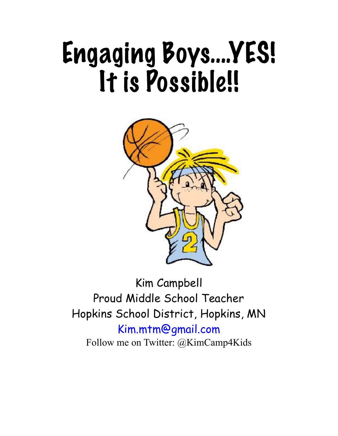# Engaging Boys….YES! It is Possible!!



Kim Campbell Proud Middle School Teacher Hopkins School District, Hopkins, MN [Kim.mtm@gmail.com](mailto:Kim.mtm@gmail.com) Follow me on Twitter: @KimCamp4Kids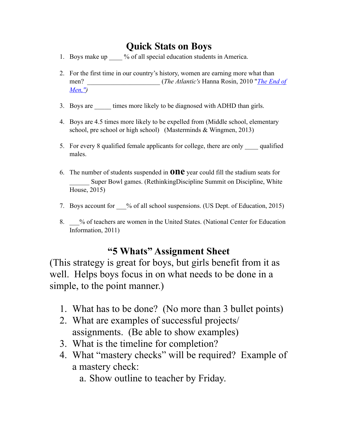## **Quick Stats on Boys**

- 1. Boys make up \_\_\_\_ % of all special education students in America.
- 2. For the first time in our country's history, women are earning more what than men? (*The Atlantic's Hanna Rosin, 2010* "*The End of [Men,"](http://www.theatlantic.com/magazine/archive/2010/07/the-end-of-men/8135/))*
- 3. Boys are times more likely to be diagnosed with ADHD than girls.
- 4. Boys are 4.5 times more likely to be expelled from (Middle school, elementary school, pre school or high school) (Masterminds & Wingmen, 2013)
- 5. For every 8 qualified female applicants for college, there are only \_\_\_\_ qualified males.
- 6. The number of students suspended in **one** year could fill the stadium seats for Super Bowl games. (RethinkingDiscipline Summit on Discipline, White House, 2015)
- 7. Boys account for \_\_\_% of all school suspensions. (US Dept. of Education, 2015)
- 8. \_\_\_% of teachers are women in the United States. (National Center for Education Information, 2011)

## **"5 Whats" Assignment Sheet**

(This strategy is great for boys, but girls benefit from it as well. Helps boys focus in on what needs to be done in a simple, to the point manner.)

- 1. What has to be done? (No more than 3 bullet points)
- 2. What are examples of successful projects/ assignments. (Be able to show examples)
- 3. What is the timeline for completion?
- 4. What "mastery checks" will be required? Example of a mastery check:
	- a. Show outline to teacher by Friday.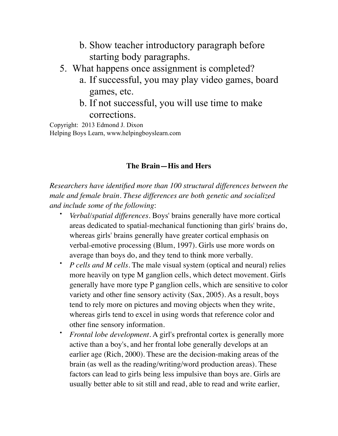- b. Show teacher introductory paragraph before starting body paragraphs.
- 5. What happens once assignment is completed?
	- a. If successful, you may play video games, board games, etc.
	- b. If not successful, you will use time to make corrections.

Copyright: 2013 Edmond J. Dixon Helping Boys Learn, www.helpingboyslearn.com

#### **The Brain—His and Hers**

*Researchers have identified more than 100 structural differences between the male and female brain. These differences are both genetic and socialized and include some of the following*:

- *Verbal/spatial differences*. Boys' brains generally have more cortical areas dedicated to spatial-mechanical functioning than girls' brains do, whereas girls' brains generally have greater cortical emphasis on verbal-emotive processing (Blum, 1997). Girls use more words on average than boys do, and they tend to think more verbally.
- *P cells and M cells*. The male visual system (optical and neural) relies more heavily on type M ganglion cells, which detect movement. Girls generally have more type P ganglion cells, which are sensitive to color variety and other fine sensory activity (Sax, 2005). As a result, boys tend to rely more on pictures and moving objects when they write, whereas girls tend to excel in using words that reference color and other fine sensory information.
- *Frontal lobe development*. A girl's prefrontal cortex is generally more active than a boy's, and her frontal lobe generally develops at an earlier age (Rich, 2000). These are the decision-making areas of the brain (as well as the reading/writing/word production areas). These factors can lead to girls being less impulsive than boys are. Girls are usually better able to sit still and read, able to read and write earlier,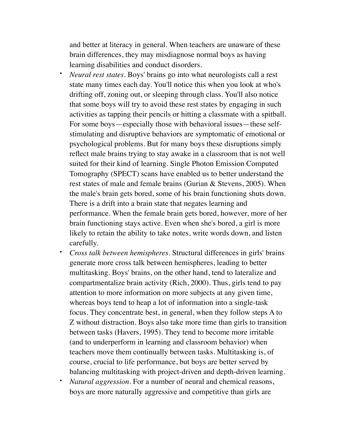and better at literacy in general. When teachers are unaware of these brain differences, they may misdiagnose normal boys as having learning disabilities and conduct disorders.

- *Neural rest states*. Boys' brains go into what neurologists call a rest state many times each day. You'll notice this when you look at who's drifting off, zoning out, or sleeping through class. You'll also notice that some boys will try to avoid these rest states by engaging in such activities as tapping their pencils or hitting a classmate with a spitball. For some boys—especially those with behavioral issues—these selfstimulating and disruptive behaviors are symptomatic of emotional or psychological problems. But for many boys these disruptions simply reflect male brains trying to stay awake in a classroom that is not well suited for their kind of learning. Single Photon Emission Computed Tomography (SPECT) scans have enabled us to better understand the rest states of male and female brains (Gurian & Stevens, 2005). When the male's brain gets bored, some of his brain functioning shuts down. There is a drift into a brain state that negates learning and performance. When the female brain gets bored, however, more of her brain functioning stays active. Even when she's bored, a girl is more likely to retain the ability to take notes, write words down, and listen carefully.
- *Cross talk between hemispheres*. Structural differences in girls' brains generate more cross talk between hemispheres, leading to better multitasking. Boys' brains, on the other hand, tend to lateralize and compartmentalize brain activity (Rich, 2000). Thus, girls tend to pay attention to more information on more subjects at any given time, whereas boys tend to heap a lot of information into a single-task focus. They concentrate best, in general, when they follow steps A to Z without distraction. Boys also take more time than girls to transition between tasks (Havers, 1995). They tend to become more irritable (and to underperform in learning and classroom behavior) when teachers move them continually between tasks. Multitasking is, of course, crucial to life performance, but boys are better served by balancing multitasking with project-driven and depth-driven learning.
- *Natural aggression*. For a number of neural and chemical reasons, boys are more naturally aggressive and competitive than girls are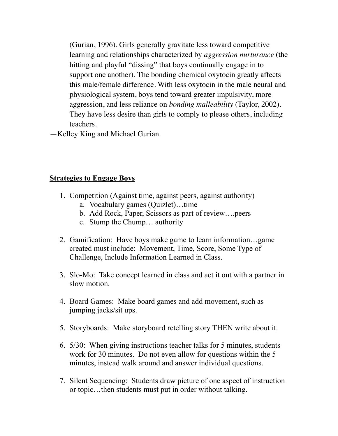(Gurian, 1996). Girls generally gravitate less toward competitive learning and relationships characterized by *aggression nurturance* (the hitting and playful "dissing" that boys continually engage in to support one another). The bonding chemical oxytocin greatly affects this male/female difference. With less oxytocin in the male neural and physiological system, boys tend toward greater impulsivity, more aggression, and less reliance on *bonding malleability* (Taylor, 2002). They have less desire than girls to comply to please others, including teachers.

—Kelley King and Michael Gurian

#### **Strategies to Engage Boys**

- 1. Competition (Against time, against peers, against authority)
	- a. Vocabulary games (Quizlet)…time
	- b. Add Rock, Paper, Scissors as part of review….peers
	- c. Stump the Chump… authority
- 2. Gamification: Have boys make game to learn information…game created must include: Movement, Time, Score, Some Type of Challenge, Include Information Learned in Class.
- 3. Slo-Mo: Take concept learned in class and act it out with a partner in slow motion.
- 4. Board Games: Make board games and add movement, such as jumping jacks/sit ups.
- 5. Storyboards: Make storyboard retelling story THEN write about it.
- 6. 5/30: When giving instructions teacher talks for 5 minutes, students work for 30 minutes. Do not even allow for questions within the 5 minutes, instead walk around and answer individual questions.
- 7. Silent Sequencing: Students draw picture of one aspect of instruction or topic…then students must put in order without talking.